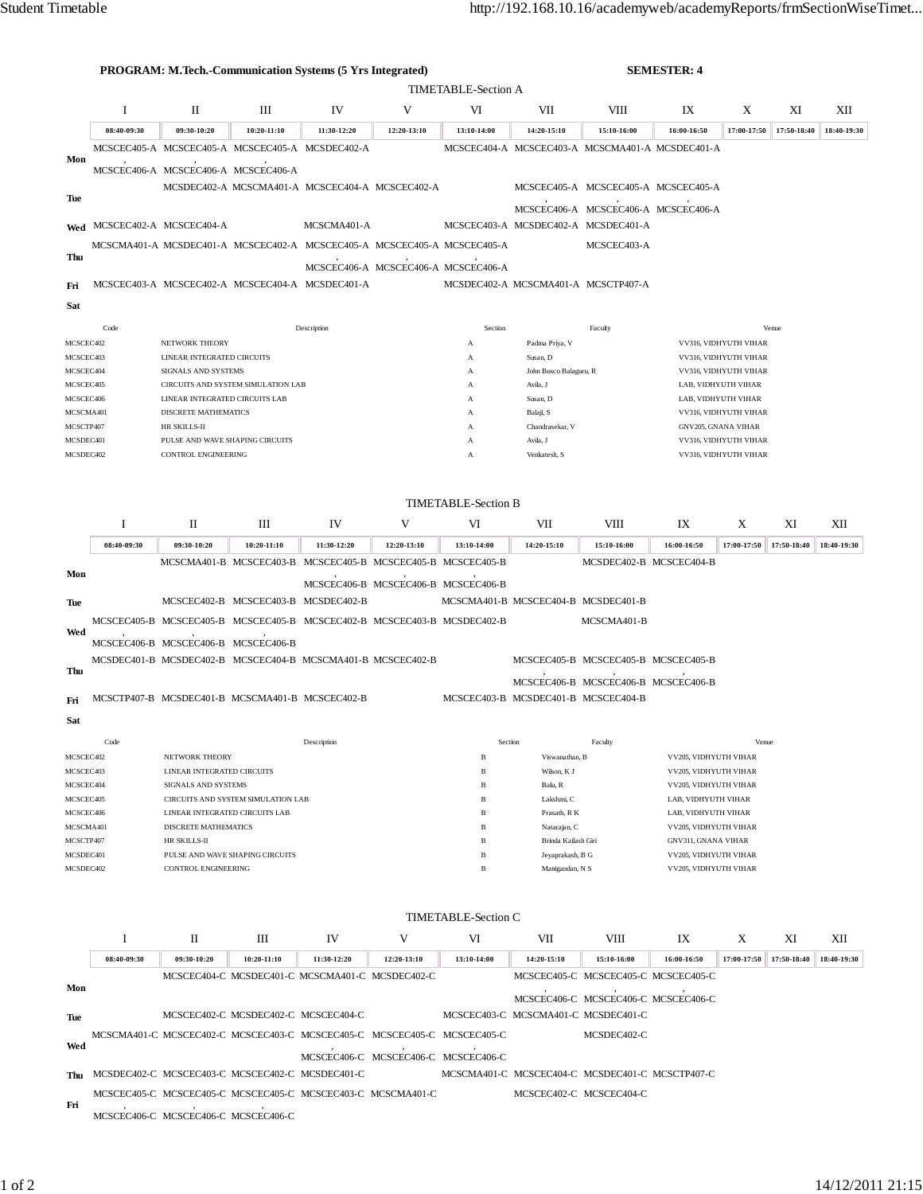|                        |                                     | <b>PROGRAM: M.Tech.-Communication Systems (5 Yrs Integrated)</b><br><b>SEMESTER: 4</b> |                                                                         |                                     |                                     |                            |                                                 |                                     |                                                |                                              |             |             |
|------------------------|-------------------------------------|----------------------------------------------------------------------------------------|-------------------------------------------------------------------------|-------------------------------------|-------------------------------------|----------------------------|-------------------------------------------------|-------------------------------------|------------------------------------------------|----------------------------------------------|-------------|-------------|
|                        | <b>TIMETABLE-Section A</b>          |                                                                                        |                                                                         |                                     |                                     |                            |                                                 |                                     |                                                |                                              |             |             |
|                        | $\mathbf I$                         | П                                                                                      | Ш                                                                       | IV                                  | V                                   | VI                         | VII                                             | VIII                                | IX                                             | X                                            | XI          | XII         |
|                        | 08:40-09:30                         | 09:30-10:20                                                                            | 10:20-11:10                                                             | 11:30-12:20                         | 12:20-13:10                         | 13:10-14:00                | 14:20-15:10                                     | 15:10-16:00                         | 16:00-16:50                                    | 17:00-17:50                                  | 17:50-18:40 | 18:40-19:30 |
|                        |                                     |                                                                                        | MCSCEC405-A MCSCEC405-A MCSCEC405-A MCSDEC402-A                         |                                     |                                     |                            | MCSCEC404-A MCSCEC403-A MCSCMA401-A MCSDEC401-A |                                     |                                                |                                              |             |             |
| Mon                    |                                     |                                                                                        | MCSCEC406-A MCSCEC406-A MCSCEC406-A                                     |                                     |                                     |                            |                                                 |                                     |                                                |                                              |             |             |
|                        |                                     |                                                                                        | MCSDEC402-A MCSCMA401-A MCSCEC404-A MCSCEC402-A                         |                                     |                                     |                            |                                                 |                                     | MCSCEC405-A MCSCEC405-A MCSCEC405-A            |                                              |             |             |
| Tue                    |                                     |                                                                                        |                                                                         |                                     |                                     |                            |                                                 |                                     |                                                |                                              |             |             |
|                        |                                     |                                                                                        |                                                                         | MCSCMA401-A                         |                                     |                            | MCSCEC403-A MCSDEC402-A MCSDEC401-A             |                                     | MCSCEC406-A MCSCEC406-A MCSCEC406-A            |                                              |             |             |
|                        | Wed MCSCEC402-A MCSCEC404-A         |                                                                                        |                                                                         |                                     |                                     |                            |                                                 |                                     |                                                |                                              |             |             |
| Thu                    |                                     |                                                                                        | MCSCMA401-A MCSDEC401-A MCSCEC402-A MCSCEC405-A MCSCEC405-A MCSCEC405-A |                                     |                                     |                            |                                                 | MCSCEC403-A                         |                                                |                                              |             |             |
|                        |                                     |                                                                                        |                                                                         |                                     | MCSCEC406-A MCSCEC406-A MCSCEC406-A |                            |                                                 |                                     |                                                |                                              |             |             |
| Fri                    |                                     |                                                                                        | MCSCEC403-A MCSCEC402-A MCSCEC404-A MCSDEC401-A                         |                                     |                                     |                            | MCSDEC402-A MCSCMA401-A MCSCTP407-A             |                                     |                                                |                                              |             |             |
| Sat                    |                                     |                                                                                        |                                                                         |                                     |                                     |                            |                                                 |                                     |                                                |                                              |             |             |
|                        | Code                                |                                                                                        |                                                                         | Description                         |                                     | Section                    |                                                 | Faculty                             |                                                |                                              | Venue       |             |
| MCSCEC402              |                                     | NETWORK THEORY                                                                         |                                                                         |                                     |                                     | A                          | Padma Priya, V                                  |                                     |                                                | VV316, VIDHYUTH VIHAR                        |             |             |
| MCSCEC403              |                                     | LINEAR INTEGRATED CIRCUITS                                                             |                                                                         |                                     |                                     | A                          | Susan, D                                        |                                     |                                                | VV316, VIDHYUTH VIHAR                        |             |             |
| MCSCEC404              |                                     | SIGNALS AND SYSTEMS                                                                    |                                                                         |                                     |                                     | А                          | John Bosco Balaguru, R                          |                                     |                                                | VV316, VIDHYUTH VIHAR                        |             |             |
| MCSCEC405              |                                     | LINEAR INTEGRATED CIRCUITS LAB                                                         | CIRCUITS AND SYSTEM SIMULATION LAB                                      |                                     |                                     | А                          | Avila, J                                        |                                     |                                                | LAB, VIDHYUTH VIHAR                          |             |             |
| MCSCEC406<br>MCSCMA401 |                                     | <b>DISCRETE MATHEMATICS</b>                                                            |                                                                         |                                     |                                     | A<br>A                     | Susan, D<br>Balaji, S                           |                                     |                                                | LAB, VIDHYUTH VIHAR<br>VV316, VIDHYUTH VIHAR |             |             |
| MCSCTP407              |                                     | HR SKILLS-II                                                                           |                                                                         |                                     |                                     | A                          | Chandrasekar, V                                 |                                     | GNV205, GNANA VIHAR                            |                                              |             |             |
| MCSDEC401              |                                     | PULSE AND WAVE SHAPING CIRCUITS                                                        |                                                                         |                                     |                                     | A                          | Avila, J                                        |                                     |                                                | VV316, VIDHYUTH VIHAR                        |             |             |
| MCSDEC402              |                                     | <b>CONTROL ENGINEERING</b>                                                             |                                                                         |                                     |                                     | A                          | Venkatesh, S                                    |                                     |                                                | VV316, VIDHYUTH VIHAR                        |             |             |
|                        |                                     |                                                                                        |                                                                         |                                     |                                     |                            |                                                 |                                     |                                                |                                              |             |             |
|                        |                                     |                                                                                        |                                                                         |                                     |                                     | <b>TIMETABLE-Section B</b> |                                                 |                                     |                                                |                                              |             |             |
|                        | -1                                  | П                                                                                      | Ш                                                                       | IV                                  | V                                   | VI                         | VII                                             | VIII                                | IX                                             | X                                            | XI          | XII         |
|                        |                                     |                                                                                        |                                                                         |                                     |                                     |                            |                                                 |                                     |                                                |                                              |             |             |
|                        | 08:40-09:30                         | 09:30-10:20                                                                            | 10:20-11:10                                                             | 11:30-12:20                         | 12:20-13:10                         | 13:10-14:00                | 14:20-15:10                                     | 15:10-16:00                         | 16:00-16:50                                    | 17:00-17:50                                  | 17:50-18:40 | 18:40-19:30 |
| Mon                    |                                     |                                                                                        | MCSCMA401-B MCSCEC403-B MCSCEC405-B MCSCEC405-B MCSCEC405-B             |                                     |                                     |                            |                                                 | MCSDEC402-B MCSCEC404-B             |                                                |                                              |             |             |
|                        |                                     |                                                                                        |                                                                         |                                     | MCSCEC406-B MCSCEC406-B MCSCEC406-B |                            |                                                 |                                     |                                                |                                              |             |             |
| Tue                    |                                     |                                                                                        | MCSCEC402-B MCSCEC403-B MCSDEC402-B                                     |                                     |                                     |                            | MCSCMA401-B MCSCEC404-B MCSDEC401-B             |                                     |                                                |                                              |             |             |
|                        |                                     |                                                                                        | MCSCEC405-B MCSCEC405-B MCSCEC405-B MCSCEC402-B MCSCEC403-B MCSDEC402-B |                                     |                                     |                            |                                                 | MCSCMA401-B                         |                                                |                                              |             |             |
| Wed                    | MCSCEC406-B MCSCEC406-B MCSCEC406-B |                                                                                        |                                                                         |                                     |                                     |                            |                                                 |                                     |                                                |                                              |             |             |
|                        |                                     |                                                                                        | MCSDEC401-B MCSDEC402-B MCSCEC404-B MCSCMA401-B MCSCEC402-B             |                                     |                                     |                            |                                                 | MCSCEC405-B MCSCEC405-B MCSCEC405-B |                                                |                                              |             |             |
| Thu                    |                                     |                                                                                        |                                                                         |                                     |                                     |                            |                                                 |                                     |                                                |                                              |             |             |
|                        |                                     |                                                                                        |                                                                         |                                     |                                     |                            |                                                 | MCSCEC406-B MCSCEC406-B MCSCEC406-B |                                                |                                              |             |             |
| Fri                    |                                     |                                                                                        | MCSCTP407-B MCSDEC401-B MCSCMA401-B MCSCEC402-B                         |                                     |                                     |                            | MCSCEC403-B MCSDEC401-B MCSCEC404-B             |                                     |                                                |                                              |             |             |
| Sat                    |                                     |                                                                                        |                                                                         |                                     |                                     |                            |                                                 |                                     |                                                |                                              |             |             |
|                        | Code                                |                                                                                        |                                                                         | Description                         |                                     |                            | Section                                         | Faculty                             |                                                | Venue                                        |             |             |
| MCSCEC402              |                                     | NETWORK THEORY                                                                         |                                                                         |                                     |                                     | B                          | Viswanathan, B                                  |                                     | VV205, VIDHYUTH VIHAR                          |                                              |             |             |
| MCSCEC403              |                                     | LINEAR INTEGRATED CIRCUITS                                                             |                                                                         |                                     |                                     | B                          | Wilson, K J                                     |                                     | VV205, VIDHYUTH VIHAR                          |                                              |             |             |
| MCSCEC404<br>MCSCEC405 |                                     | SIGNALS AND SYSTEMS                                                                    | CIRCUITS AND SYSTEM SIMULATION LAB                                      |                                     |                                     | B<br>В                     | Balu, R<br>Lakshmi, C                           |                                     | VV205, VIDHYUTH VIHAR<br>LAB, VIDHYUTH VIHAR   |                                              |             |             |
| MCSCEC406              |                                     | LINEAR INTEGRATED CIRCUITS LAB                                                         |                                                                         |                                     |                                     | B                          | Prasath, R K                                    |                                     | LAB, VIDHYUTH VIHAR                            |                                              |             |             |
| MCSCMA401              |                                     | DISCRETE MATHEMATICS                                                                   |                                                                         |                                     |                                     | B                          | Natarajan, C                                    |                                     | VV205, VIDHYUTH VIHAR                          |                                              |             |             |
| MCSCTP407              |                                     | HR SKILLS-II                                                                           |                                                                         |                                     |                                     | B                          | Brinda Kailash Giri                             |                                     | <b>GNV311, GNANA VIHAR</b>                     |                                              |             |             |
| MCSDEC401<br>MCSDEC402 |                                     | <b>CONTROL ENGINEERING</b>                                                             | PULSE AND WAVE SHAPING CIRCUITS                                         |                                     |                                     | B<br>B                     | Jeyaprakash, B G<br>Manigandan, N S             |                                     | VV205, VIDHYUTH VIHAR<br>VV205, VIDHYUTH VIHAR |                                              |             |             |
|                        |                                     |                                                                                        |                                                                         |                                     |                                     |                            |                                                 |                                     |                                                |                                              |             |             |
|                        |                                     |                                                                                        |                                                                         |                                     |                                     |                            |                                                 |                                     |                                                |                                              |             |             |
|                        |                                     |                                                                                        |                                                                         |                                     |                                     | TIMETABLE-Section C        |                                                 |                                     |                                                |                                              |             |             |
|                        | <b>I</b>                            | П                                                                                      | Ш                                                                       | IV                                  | V                                   | VI                         | VII                                             | VIII                                | IX                                             | X                                            | XI          | XІІ         |
|                        | 08:40-09:30                         | 09:30-10:20                                                                            | 10:20-11:10                                                             | 11:30-12:20                         | 12:20-13:10                         | 13:10-14:00                | 14:20-15:10                                     | 15:10-16:00                         | 16:00-16:50                                    | 17:00-17:50                                  | 17:50-18:40 | 18:40-19:30 |
| Mon                    |                                     |                                                                                        | MCSCEC404-C MCSDEC401-C MCSCMA401-C MCSDEC402-C                         |                                     |                                     |                            |                                                 | MCSCEC405-C MCSCEC405-C MCSCEC405-C |                                                |                                              |             |             |
|                        |                                     |                                                                                        |                                                                         |                                     |                                     |                            |                                                 | MCSCEC406-C MCSCEC406-C MCSCEC406-C |                                                |                                              |             |             |
| Tue                    |                                     |                                                                                        | MCSCEC402-C MCSDEC402-C MCSCEC404-C                                     |                                     |                                     |                            | MCSCEC403-C MCSCMA401-C MCSDEC401-C             |                                     |                                                |                                              |             |             |
|                        |                                     |                                                                                        | MCSCMA401-C MCSCEC402-C MCSCEC403-C MCSCEC405-C MCSCEC405-C MCSCEC405-C |                                     |                                     |                            |                                                 | MCSDEC402-C                         |                                                |                                              |             |             |
| Wed                    |                                     |                                                                                        |                                                                         | MCSCEC406-C MCSCEC406-C MCSCEC406-C |                                     |                            |                                                 |                                     |                                                |                                              |             |             |
| Thu                    |                                     |                                                                                        | MCSDEC402-C MCSCEC403-C MCSCEC402-C MCSDEC401-C                         |                                     |                                     |                            | MCSCMA401-C MCSCEC404-C MCSDEC401-C MCSCTP407-C |                                     |                                                |                                              |             |             |
|                        |                                     |                                                                                        | MCSCEC405-C MCSCEC405-C MCSCEC405-C MCSCEC403-C MCSCMA401-C             |                                     |                                     |                            |                                                 |                                     |                                                |                                              |             |             |
| Fri                    |                                     |                                                                                        |                                                                         |                                     |                                     |                            |                                                 | MCSCEC402-C MCSCEC404-C             |                                                |                                              |             |             |
|                        |                                     | MCSCEC406-C MCSCEC406-C MCSCEC406-C                                                    |                                                                         |                                     |                                     |                            |                                                 |                                     |                                                |                                              |             |             |
|                        |                                     |                                                                                        |                                                                         |                                     |                                     |                            |                                                 |                                     |                                                |                                              |             |             |